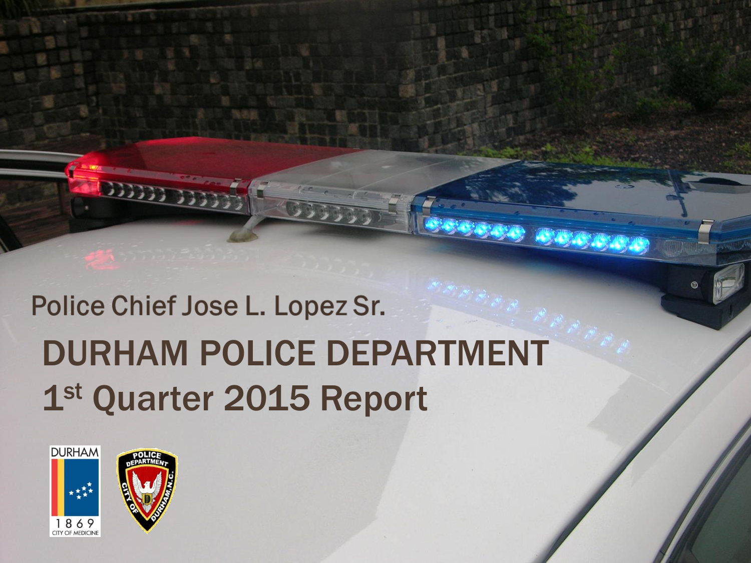## Police Chief Jose L. Lopez Sr. DURHAM POLICE DEPARTMENT 1st Quarter 2015 Report



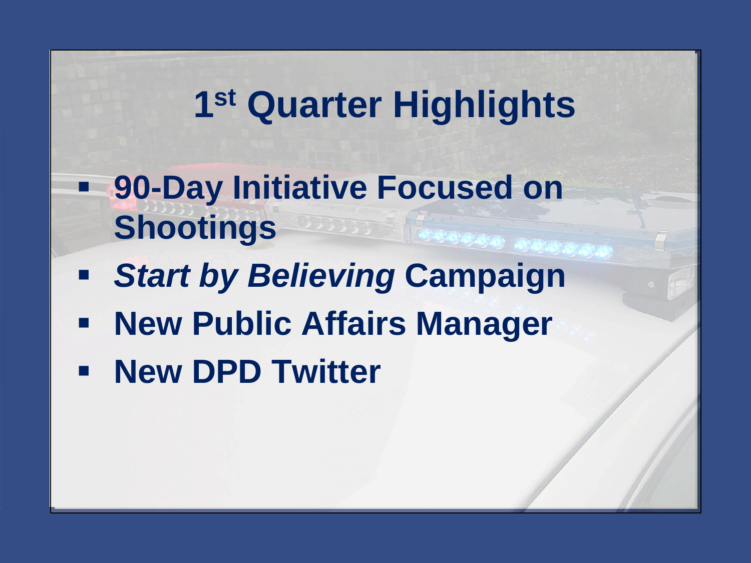### **1 st Quarter Highlights**

- **90-Day Initiative Focused on Shootings**
- *Start by Believing* **Campaign**
- **New Public Affairs Manager**
- **New DPD Twitter**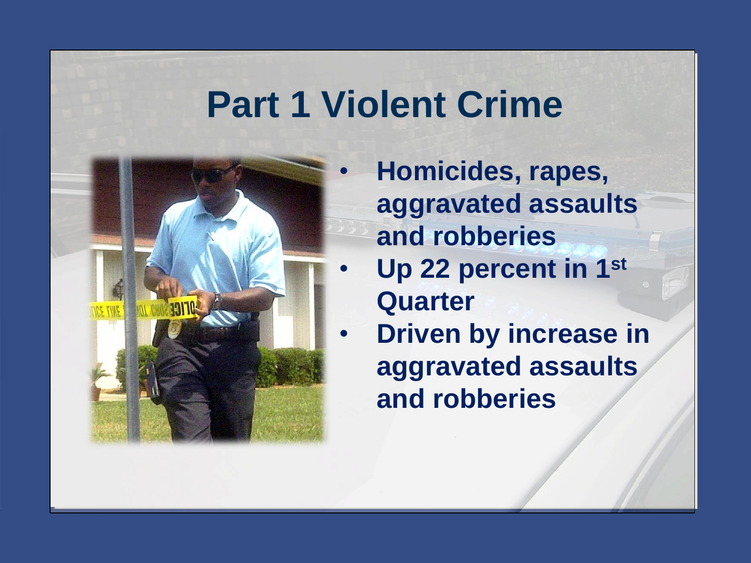#### **Part 1 Violent Crime**



- **Homicides, rapes, aggravated assaults and robberies**
- **Up 22 percent in 1st Quarter**
- **Driven by increase in aggravated assaults and robberies**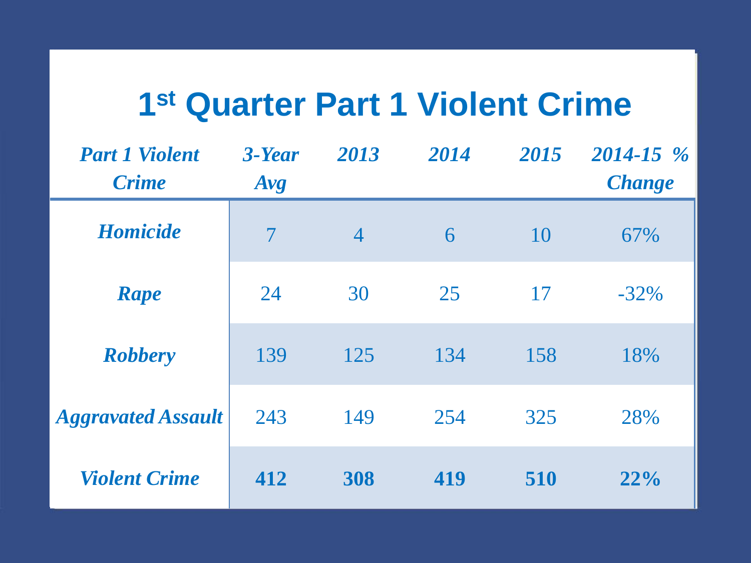#### **1 st Quarter Part 1 Violent Crime**

| <b>Part 1 Violent</b><br><b>Crime</b> | $3$ -Year<br>Avg         | 2013           | 2014 | 2015 | $2014 - 15$ %<br><b>Change</b> |
|---------------------------------------|--------------------------|----------------|------|------|--------------------------------|
| <b>Homicide</b>                       | $\overline{\mathcal{I}}$ | $\overline{4}$ | 6    | 10   | 67%                            |
| Rape                                  | 24                       | 30             | 25   | 17   | $-32\%$                        |
| <b>Robbery</b>                        | 139                      | 125            | 134  | 158  | 18%                            |
| <b>Aggravated Assault</b>             | 243                      | 149            | 254  | 325  | 28%                            |
| <b>Violent Crime</b>                  | 412                      | 308            | 419  | 510  | 22%                            |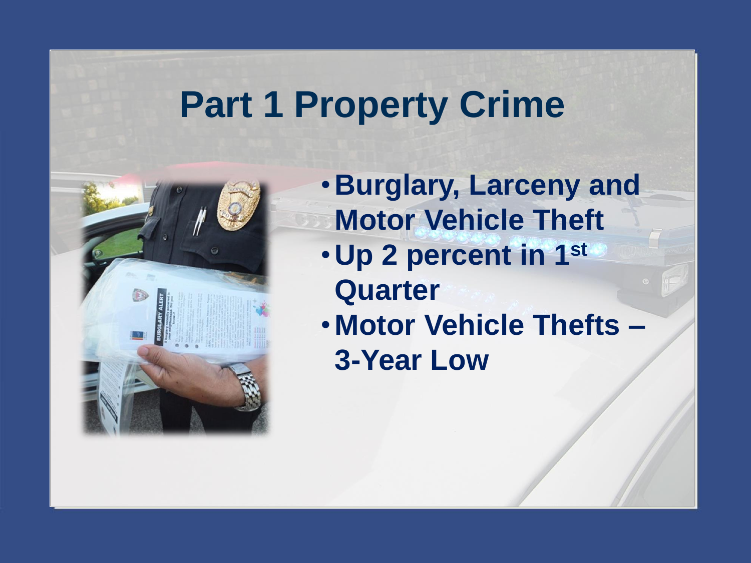#### **Part 1 Property Crime**



- •**Burglary, Larceny and Motor Vehicle Theft**
- •**Up 2 percent in 1st Quarter**
- **Motor Vehicle Thefts – 3-Year Low**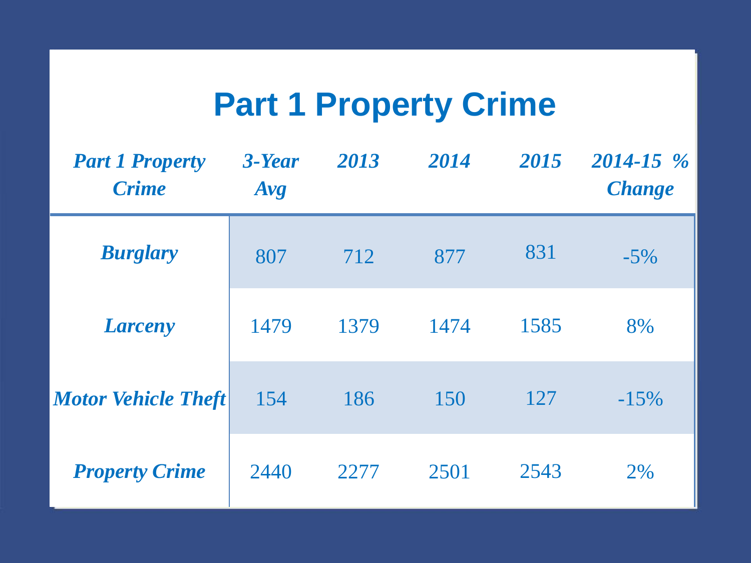#### **Part 1 Property Crime**

| <b>Part 1 Property</b><br><b>Crime</b> | 3-Year<br>Avg | 2013 | 2014 | 2015 | $2014 - 15 \%$<br><b>Change</b> |
|----------------------------------------|---------------|------|------|------|---------------------------------|
| <b>Burglary</b>                        | 807           | 712  | 877  | 831  | $-5\%$                          |
| <b>Larceny</b>                         | 1479          | 1379 | 1474 | 1585 | 8%                              |
| <b>Motor Vehicle Theft</b>             | 154           | 186  | 150  | 127  | $-15%$                          |
| <b>Property Crime</b>                  | 2440          | 2277 | 2501 | 2543 | 2%                              |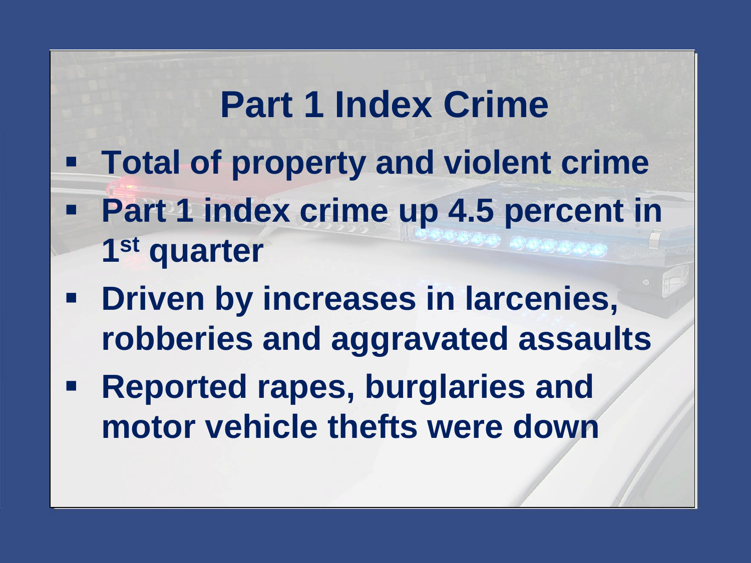### **Part 1 Index Crime**

- **Total of property and violent crime**
- **Part 1 index crime up 4.5 percent in 1 st quarter**
- **Driven by increases in larcenies, robberies and aggravated assaults**
- **Reported rapes, burglaries and motor vehicle thefts were down**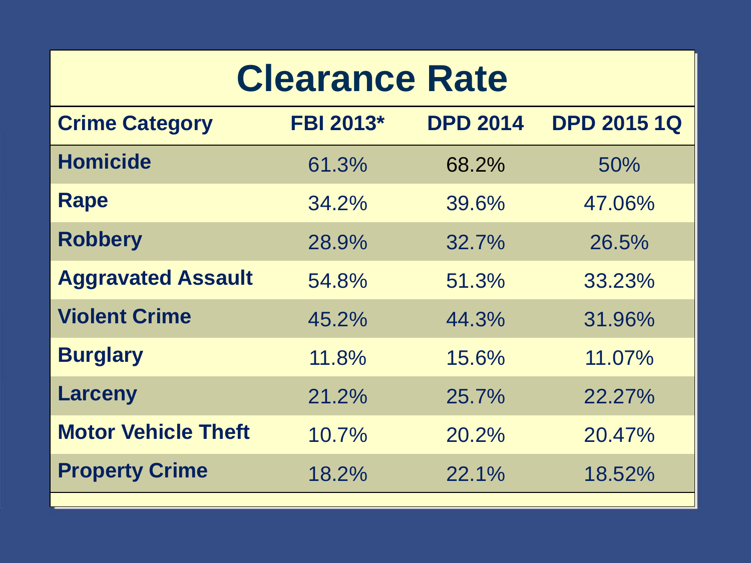### **Clearance Rate**

| <b>Crime Category</b>      | <b>FBI 2013*</b> | <b>DPD 2014</b> | <b>DPD 2015 1Q</b> |
|----------------------------|------------------|-----------------|--------------------|
| <b>Homicide</b>            | 61.3%            | 68.2%           | 50%                |
| <b>Rape</b>                | 34.2%            | 39.6%           | 47.06%             |
| <b>Robbery</b>             | 28.9%            | 32.7%           | 26.5%              |
| <b>Aggravated Assault</b>  | 54.8%            | 51.3%           | 33.23%             |
| <b>Violent Crime</b>       | 45.2%            | 44.3%           | 31.96%             |
| <b>Burglary</b>            | 11.8%            | 15.6%           | 11.07%             |
| <b>Larceny</b>             | 21.2%            | 25.7%           | 22.27%             |
| <b>Motor Vehicle Theft</b> | 10.7%            | 20.2%           | 20.47%             |
| <b>Property Crime</b>      | 18.2%            | $22.1\%$        | 18.52%             |
|                            |                  |                 |                    |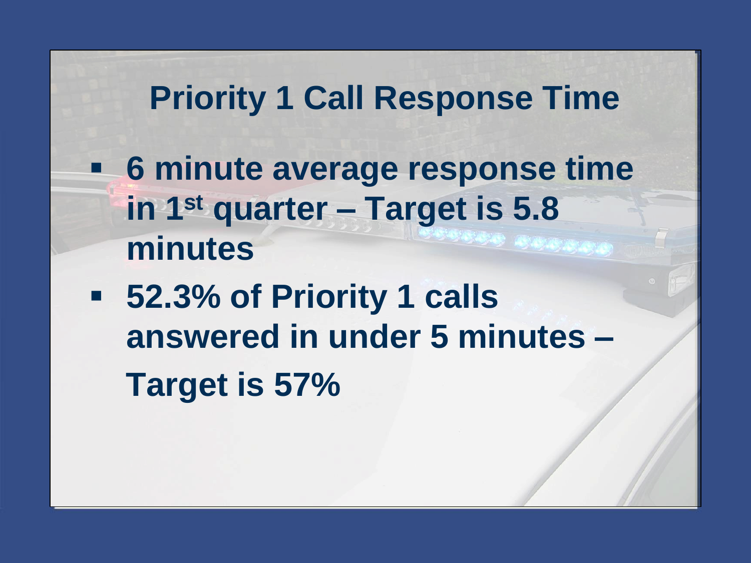#### **Priority 1 Call Response Time**

- **6 minute average response time in 1st quarter – Target is 5.8 minutes**
- **52.3% of Priority 1 calls answered in under 5 minutes – Target is 57%**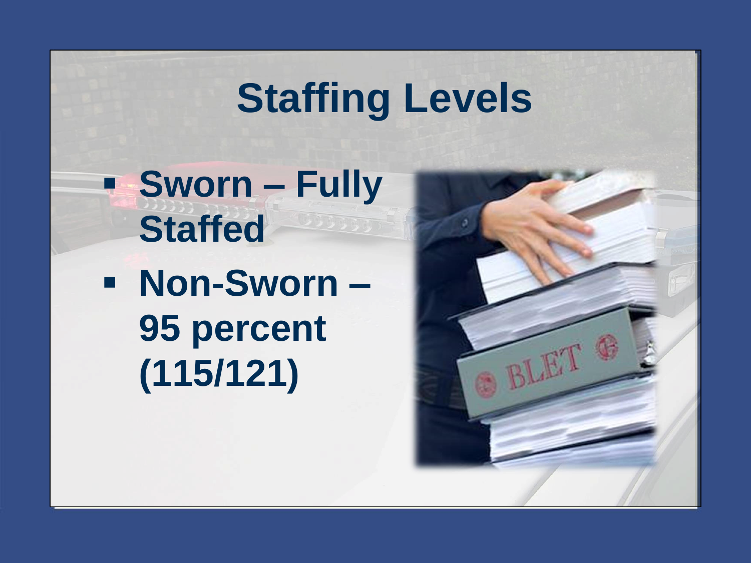# **Staffing Levels**

 **Sworn – Fully Staffed**

 **Non-Sworn – 95 percent (115/121)**